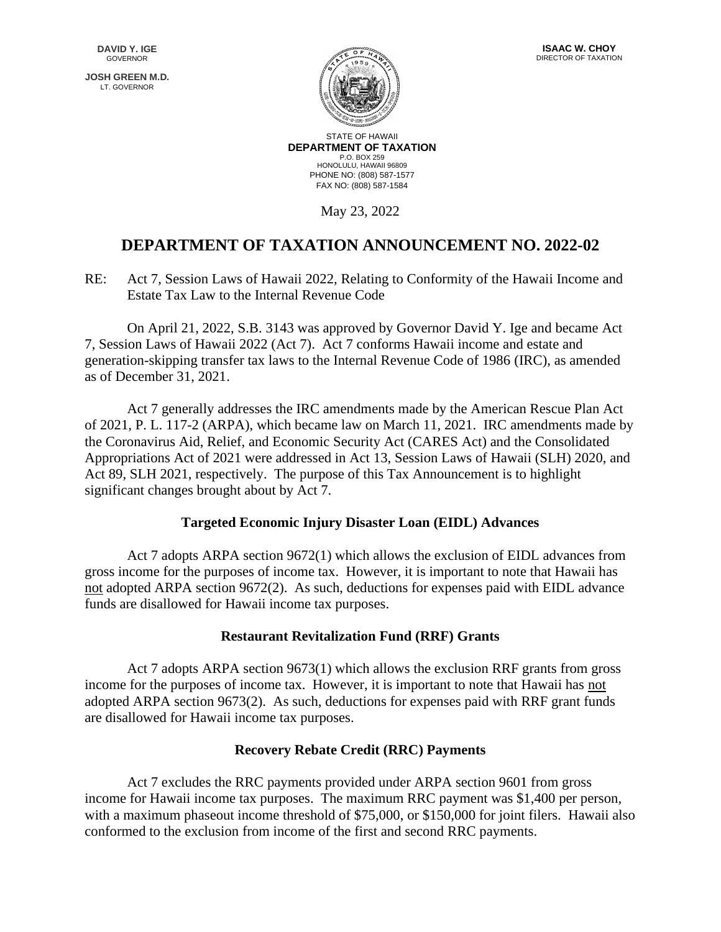**JOSH GREEN M.D.** LT. GOVERNOR





STATE OF HAWAII **DEPARTMENT OF TAXATION** P.O. BOX 259 HONOLULU, HAWAII 96809 PHONE NO: (808) 587-1577 FAX NO: (808) 587-1584

May 23, 2022

# **DEPARTMENT OF TAXATION ANNOUNCEMENT NO. 2022-02**

RE: Act 7, Session Laws of Hawaii 2022, Relating to Conformity of the Hawaii Income and Estate Tax Law to the Internal Revenue Code

On April 21, 2022, S.B. 3143 was approved by Governor David Y. Ige and became Act 7, Session Laws of Hawaii 2022 (Act 7). Act 7 conforms Hawaii income and estate and generation-skipping transfer tax laws to the Internal Revenue Code of 1986 (IRC), as amended as of December 31, 2021.

Act 7 generally addresses the IRC amendments made by the American Rescue Plan Act of 2021, P. L. 117-2 (ARPA), which became law on March 11, 2021. IRC amendments made by the Coronavirus Aid, Relief, and Economic Security Act (CARES Act) and the Consolidated Appropriations Act of 2021 were addressed in Act 13, Session Laws of Hawaii (SLH) 2020, and Act 89, SLH 2021, respectively. The purpose of this Tax Announcement is to highlight significant changes brought about by Act 7.

## **Targeted Economic Injury Disaster Loan (EIDL) Advances**

Act 7 adopts ARPA section 9672(1) which allows the exclusion of EIDL advances from gross income for the purposes of income tax. However, it is important to note that Hawaii has not adopted ARPA section 9672(2). As such, deductions for expenses paid with EIDL advance funds are disallowed for Hawaii income tax purposes.

## **Restaurant Revitalization Fund (RRF) Grants**

Act 7 adopts ARPA section 9673(1) which allows the exclusion RRF grants from gross income for the purposes of income tax. However, it is important to note that Hawaii has not adopted ARPA section 9673(2). As such, deductions for expenses paid with RRF grant funds are disallowed for Hawaii income tax purposes.

## **Recovery Rebate Credit (RRC) Payments**

Act 7 excludes the RRC payments provided under ARPA section 9601 from gross income for Hawaii income tax purposes. The maximum RRC payment was \$1,400 per person, with a maximum phaseout income threshold of \$75,000, or \$150,000 for joint filers. Hawaii also conformed to the exclusion from income of the first and second RRC payments.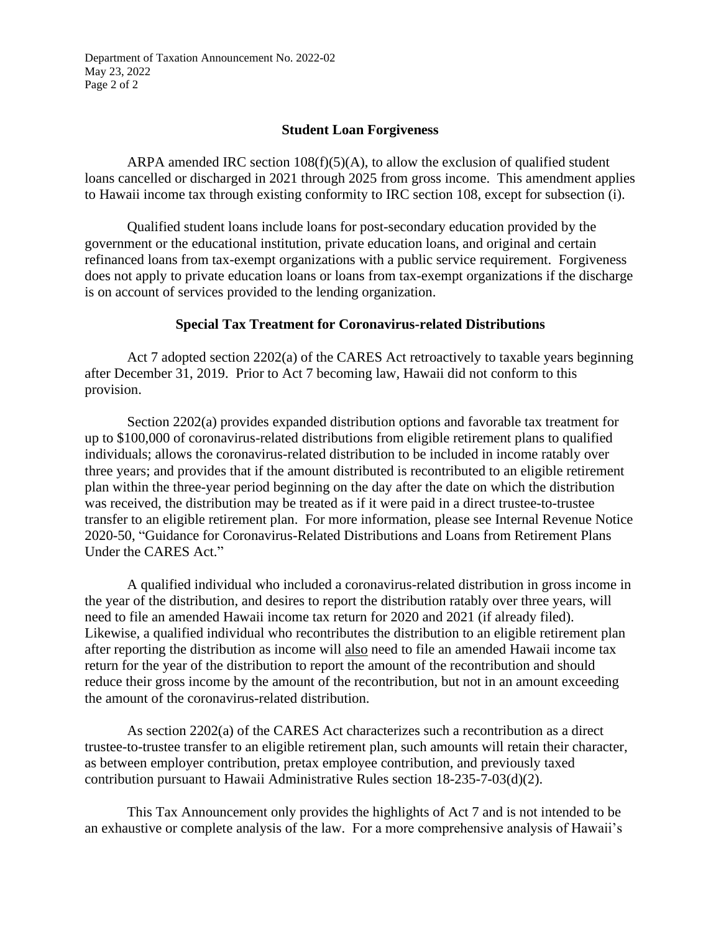Department of Taxation Announcement No. 2022-02 May 23, 2022 Page 2 of 2

#### **Student Loan Forgiveness**

ARPA amended IRC section  $108(f)(5)(A)$ , to allow the exclusion of qualified student loans cancelled or discharged in 2021 through 2025 from gross income. This amendment applies to Hawaii income tax through existing conformity to IRC section 108, except for subsection (i).

Qualified student loans include loans for post-secondary education provided by the government or the educational institution, private education loans, and original and certain refinanced loans from tax-exempt organizations with a public service requirement. Forgiveness does not apply to private education loans or loans from tax-exempt organizations if the discharge is on account of services provided to the lending organization.

#### **Special Tax Treatment for Coronavirus-related Distributions**

Act 7 adopted section 2202(a) of the CARES Act retroactively to taxable years beginning after December 31, 2019. Prior to Act 7 becoming law, Hawaii did not conform to this provision.

Section 2202(a) provides expanded distribution options and favorable tax treatment for up to \$100,000 of coronavirus-related distributions from eligible retirement plans to qualified individuals; allows the coronavirus-related distribution to be included in income ratably over three years; and provides that if the amount distributed is recontributed to an eligible retirement plan within the three-year period beginning on the day after the date on which the distribution was received, the distribution may be treated as if it were paid in a direct trustee-to-trustee transfer to an eligible retirement plan. For more information, please see Internal Revenue Notice 2020-50, "Guidance for Coronavirus-Related Distributions and Loans from Retirement Plans Under the CARES Act."

A qualified individual who included a coronavirus-related distribution in gross income in the year of the distribution, and desires to report the distribution ratably over three years, will need to file an amended Hawaii income tax return for 2020 and 2021 (if already filed). Likewise, a qualified individual who recontributes the distribution to an eligible retirement plan after reporting the distribution as income will also need to file an amended Hawaii income tax return for the year of the distribution to report the amount of the recontribution and should reduce their gross income by the amount of the recontribution, but not in an amount exceeding the amount of the coronavirus-related distribution.

As section 2202(a) of the CARES Act characterizes such a recontribution as a direct trustee-to-trustee transfer to an eligible retirement plan, such amounts will retain their character, as between employer contribution, pretax employee contribution, and previously taxed contribution pursuant to Hawaii Administrative Rules section 18-235-7-03(d)(2).

This Tax Announcement only provides the highlights of Act 7 and is not intended to be an exhaustive or complete analysis of the law. For a more comprehensive analysis of Hawaii's